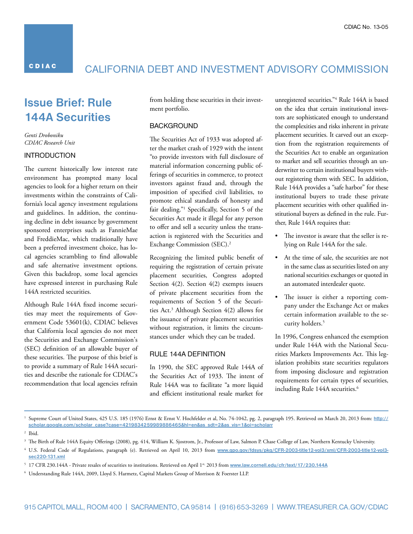**CDIAC** 

## CalIfORNIa DebT aND INvesTmeNT aDvIsORy COmmIssION

## **Issue Brief: Rule 144A Securities**

*Genti Droboniku CDIAC Research Unit* 

#### INTRODUCTION

The current historically low interest rate environment has prompted many local agencies to look for a higher return on their investments within the constraints of California's local agency investment regulations and guidelines. In addition, the continuing decline in debt issuance by government sponsored enterprises such as FannieMae and FreddieMac, which traditionally have been a preferred investment choice, has local agencies scrambling to find allowable and safe alternative investment options. Given this backdrop, some local agencies have expressed interest in purchasing Rule 144A restricted securities.

Although Rule 144A fixed income securities may meet the requirements of Government Code 53601(k), CDIAC believes that California local agencies do not meet the Securities and Exchange Commission's (SEC) definition of an allowable buyer of these securities. The purpose of this brief is to provide a summary of Rule 144A securities and describe the rationale for CDIAC's recommendation that local agencies refrain

from holding these securities in their investment portfolio.

### **BACKGROUND**

The Securities Act of 1933 was adopted after the market crash of 1929 with the intent "to provide investors with full disclosure of material information concerning public offerings of securities in commerce, to protect investors against fraud and, through the imposition of specified civil liabilities, to promote ethical standards of honesty and fair dealing."1 Specifically, Section 5 of the Securities Act made it illegal for any person to offer and sell a security unless the transaction is registered with the Securities and Exchange Commission (SEC).2

Recognizing the limited public benefit of requiring the registration of certain private placement securities, Congress adopted Section 4(2). Section 4(2) exempts issuers of private placement securities from the requirements of Section 5 of the Securities Act.3 Although Section 4(2) allows for the issuance of private placement securities without registration, it limits the circumstances under which they can be traded.

#### RUle 144a DefINITION

In 1990, the SEC approved Rule 144A of the Securities Act of 1933. The intent of Rule 144A was to facilitate "a more liquid and efficient institutional resale market for unregistered securities."4 Rule 144A is based on the idea that certain institutional investors are sophisticated enough to understand the complexities and risks inherent in private placement securities. It carved out an exception from the registration requirements of the Securities Act to enable an organization to market and sell securities through an underwriter to certain institutional buyers without registering them with SEC. In addition, Rule 144A provides a "safe harbor" for these institutional buyers to trade these private placement securities with other qualified institutional buyers as defined in the rule. Further, Rule 144A requires that:

- • The investor is aware that the seller is relying on Rule 144A for the sale.
- • At the time of sale, the securities are not in the same class as securities listed on any national securities exchanges or quoted in an automated interdealer quote.
- The issuer is either a reporting company under the Exchange Act or makes certain information available to the security holders.<sup>5</sup>

In 1996, Congress enhanced the exemption under Rule 144A with the National Securities Markets Improvements Act. This legislation prohibits state securities regulators from imposing disclosure and registration requirements for certain types of securities, including Rule 144A securities.<sup>6</sup>

<sup>&</sup>lt;sup>1</sup> Supreme Court of United States, 425 U.S. 185 (1976) Ernst & Ernst V. Hochfelder et al, No. 74-1042, pg. 2, paragraph 195. Retrieved on March 20, 2013 from: http:// **[scholar.google.com/scholar\\_case?case=4219834259989886465&hl=en&as\\_sdt=2&as\\_vis=1&oi=scholarr](http://scholar.google.com/scholar_case%3Fcase%3D4219834259989886465%26hl%3Den%26as_sdt%3D2%26as_vis%3D1%26oi%3Dscholarr)** 

<sup>2</sup> Ibid.

<sup>&</sup>lt;sup>3</sup> The Birth of Rule 144A Equity Offerings (2008), pg. 414, William K. Sjostrom, Jr., Professor of Law, Salmon P. Chase College of Law, Northern Kentucky University.

<sup>4</sup> U.S. Federal Code of Regulations, paragraph (e). Retrieved on April 10, 2013 from **[www.gpo.gov/fdsys/pkg/CFR-2003-title12-vol3/xml/CFR-2003-title12-vol3](www.gpo.gov/fdsys/pkg/CFR-2003-title12-vol3/xml/CFR-2003-title12-vol3-sec220-131.xml) [sec220-131.xml](www.gpo.gov/fdsys/pkg/CFR-2003-title12-vol3/xml/CFR-2003-title12-vol3-sec220-131.xml)** 

<sup>&</sup>lt;sup>5</sup> 17 CFR 230.144A - Private resales of securities to institutions. Retrieved on April 1<sup>st,</sup> 2013 from www.law.cornell.edu/cfr/text/17/230.144A

<sup>6</sup> Understanding Rule 144A, 2009, Lloyd S. Harmetz, Capital Markets Group of Morrison & Foerster LLP.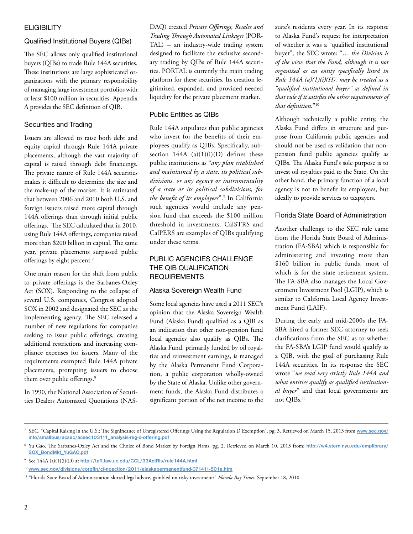### **ELIGIBILITY**

## Qualified Institutional Buyers (QIBs)

The SEC allows only qualified institutional buyers (QIBs) to trade Rule 144A securities. These institutions are large sophisticated organizations with the primary responsibility of managing large investment portfolios with at least \$100 million in securities. Appendix A provides the SEC definition of QIB.

## securities and Trading

Issuers are allowed to raise both debt and equity capital through Rule 144A private placements, although the vast majority of capital is raised through debt financings. The private nature of Rule 144A securities makes it difficult to determine the size and the make-up of the market. It is estimated that between 2006 and 2010 both U.S. and foreign issuers raised more capital through 144A offerings than through initial public offerings. The SEC calculated that in 2010, using Rule 144A offerings, companies raised more than \$200 billion in capital. The same year, private placements surpassed public offerings by eight percent.<sup>7</sup>

One main reason for the shift from public to private offerings is the Sarbanes-Oxley Act (SOX). Responding to the collapse of several U.S. companies, Congress adopted SOX in 2002 and designated the SEC as the implementing agency. The SEC released a number of new regulations for companies seeking to issue public offerings, creating additional restrictions and increasing compliance expenses for issuers. Many of the requirements exempted Rule 144A private placements, prompting issuers to choose them over public offerings.<sup>8</sup>

In 1990, the National Association of Securities Dealers Automated Quotations (NAS- DAQ) created *Private Offerings, Resales and Trading Through Automated Linkages* (POR-TAL) – an industry-wide trading system designed to facilitate the exclusive secondary trading by QIBs of Rule 144A securities. PORTAL is currently the main trading platform for these securities. Its creation legitimized, expanded, and provided needed liquidity for the private placement market.

## Public Entities as QIBs

Rule 144A stipulates that public agencies who invest for the benefits of their employees qualify as QIBs. Specifically, subsection  $144A$  (a)(1)(i)(D) defines these public institutions as "*any plan established and maintained by a state, its political subdivisions, or any agency or instrumentality of a state or its political subdivisions, for the benefit of its employees*".9 In California such agencies would include any pension fund that exceeds the \$100 million threshold in investments. CalSTRS and CalPERS are examples of QIBs qualifying under these terms.

## PUBLIC AGENCIES CHALLENGE THE QIB QUALIFICATION **REQUIREMENTS**

## alaska sovereign wealth fund

Some local agencies have used a 2011 SEC's opinion that the Alaska Sovereign Wealth Fund (Alaska Fund) qualified as a QIB as an indication that other non-pension fund local agencies also qualify as QIBs. The Alaska Fund, primarily funded by oil royalties and reinvestment earnings, is managed by the Alaska Permanent Fund Corporation, a public corporation wholly-owned by the State of Alaska. Unlike other government funds, the Alaska Fund distributes a significant portion of the net income to the state's residents every year. In its response to Alaska Fund's request for interpretation of whether it was a "qualified institutional buyer", the SEC wrote: "… *the Division is of the view that the Fund, although it is not organized as an entity specifically listed in Rule 144A (a)(1)(i)(H), may be treated as a "qualified institutional buyer" as defined in that rule if it satisfies the other requirements of that definition.*"10

Although technically a public entity, the Alaska Fund differs in structure and purpose from California public agencies and should not be used as validation that nonpension fund public agencies qualify as QIBs. The Alaska Fund's sole purpose is to invest oil royalties paid to the State. On the other hand, the primary function of a local agency is not to benefit its employees, but ideally to provide services to taxpayers.

## Florida State Board of Administration

Another challenge to the SEC rule came from the Florida State Board of Administration (FA-SBA) which is responsible for administering and investing more than \$160 billion in public funds, most of which is for the state retirement system. The FA-SBA also manages the Local Government Investment Pool (LGIP), which is similar to California Local Agency Investment Fund (LAIF).

During the early and mid-2000s the FA-SBA hired a former SEC attorney to seek clarifications from the SEC as to whether the FA-SBA's LGIP fund would qualify as a QIB, with the goal of purchasing Rule 144A securities. In its response the SEC wrote "*we read very strictly Rule 144A and what entities qualify as qualified institutional buyer*" and that local governments are not QIBs.<sup>11</sup>

<sup>7</sup> SEC, "Capital Raising in the U.S.: The Significance of Unregistered Offerings Using the Regulation D Exemption", pg. 3. Retrieved on March 15, 2013 from **[www.sec.gov/](www.sec.gov/info/smallbus/acsec/acsec103111_analysis-reg-d-offering.pdf)  [info/smallbus/acsec/acsec103111\\_analysis-reg-d-offering.pdf](www.sec.gov/info/smallbus/acsec/acsec103111_analysis-reg-d-offering.pdf)** 

<sup>&</sup>lt;sup>8</sup> Yu Gao, The Sarbanes-Oxley Act and the Choice of Bond Market by Foreign Firms, pg. 2. Retrieved on March 10, 2013 from: http://w4.stern.nyu.edu/emplibrary/ **[SOX\\_BondMkt\\_YuGAO.pdf](http://w4.stern.nyu.edu/emplibrary/SOX_BondMkt_YuGAO.pdf)** 

<sup>9</sup> See 144A (a)(1)(i)(D) at **<http://taft.law.uc.edu/CCL/33ActRls/rule144A.html>** 

<sup>10</sup>**<www.sec.gov/divisions/corpfin/cf-noaction/2011/alaskapermanentfund-071411-501a.htm>**

<sup>11 &</sup>quot;Florida State Board of Administration skirted legal advice, gambled on risky investments" *Florida Bay Times*, September 18, 2010.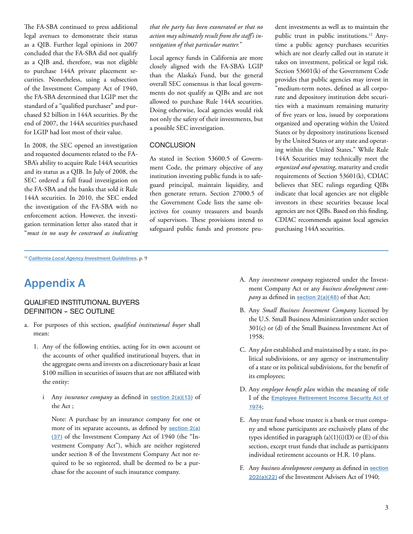The FA-SBA continued to press additional legal avenues to demonstrate their status as a QIB. Further legal opinions in 2007 concluded that the FA-SBA did not qualify as a QIB and, therefore, was not eligible to purchase 144A private placement securities. Nonetheless, using a subsection of the Investment Company Act of 1940, the FA-SBA determined that LGIP met the standard of a "qualified purchaser" and purchased \$2 billion in 144A securities. By the end of 2007, the 144A securities purchased for LGIP had lost most of their value.

In 2008, the SEC opened an investigation and requested documents related to the FA-SBA's ability to acquire Rule 144A securities and its status as a QIB. In July of 2008, the SEC ordered a full fraud investigation on the FA-SBA and the banks that sold it Rule 144A securities. In 2010, the SEC ended the investigation of the FA-SBA with no enforcement action. However, the investigation termination letter also stated that it "*must in no way be construed as indicating* 

#### *that the party has been exonerated or that no action may ultimately result from the staff's investigation of that particular matter.*"

Local agency funds in California are more closely aligned with the FA-SBA's LGIP than the Alaska's Fund, but the general overall SEC consensus is that local governments do not qualify as QIBs and are not allowed to purchase Rule 144A securities. Doing otherwise, local agencies would risk not only the safety of their investments, but a possible SEC investigation.

#### **CONCLUSION**

As stated in Section 53600.5 of Government Code, the primary objective of any institution investing public funds is to safeguard principal, maintain liquidity, and then generate return. Section 27000.5 of the Government Code lists the same objectives for county treasurers and boards of supervisors. These provisions intend to safeguard public funds and promote prudent investments as well as to maintain the public trust in public institutions.12 Anytime a public agency purchases securities which are not clearly called out in statute it takes on investment, political or legal risk. Section 53601(k) of the Government Code provides that public agencies may invest in "medium-term notes, defined as all corporate and depository institution debt securities with a maximum remaining maturity of five years or less, issued by corporations organized and operating within the United States or by depository institutions licensed by the United States or any state and operating within the United States." While Rule 144A Securities may technically meet the *organized and operating*, maturity and credit requirements of Section 53601(k), CDIAC believes that SEC rulings regarding QIBs indicate that local agencies are not eligible investors in these securities because local agencies are not QIBs. Based on this finding, CDIAC recommends against local agencies purchasing 144A securities.

# **Appendix A**

#### QUalIfIeD INsTITUTIONal bUyeRs DEFINITION - SEC OUTLINE

- a. For purposes of this section, *qualified institutional buyer* shall mean:
	- 1. Any of the following entities, acting for its own account or the accounts of other qualified institutional buyers, that in the aggregate owns and invests on a discretionary basis at least \$100 million in securities of issuers that are not affiliated with the entity:
		- i Any *insurance company* as defined in **[section 2\(a\)\(13\)](http://taft.law.uc.edu/CCL/33Act/sec2.html%23a.13)** of the Act ;

Note: A purchase by an insurance company for one or more of its separate accounts, as defined by **[section 2\(a\)](http://taft.law.uc.edu/CCL/InvCoAct/sec2.html%23a.37) [\(37\)](http://taft.law.uc.edu/CCL/InvCoAct/sec2.html%23a.37)** of the Investment Company Act of 1940 (the "Investment Company Act"), which are neither registered under section 8 of the Investment Company Act nor required to be so registered, shall be deemed to be a purchase for the account of such insurance company.

- A. Any *investment company* registered under the Investment Company Act or any *business development company* as defined in **[section 2\(a\)\(48\)](http://taft.law.uc.edu/CCL/InvCoAct/sec2.html%23a.48)** of that Act;
- B. Any *Small Business Investment Company* licensed by the U.S. Small Business Administration under section 301(c) or (d) of the Small Business Investment Act of 1958;
- C. Any *plan* established and maintained by a state, its political subdivisions, or any agency or instrumentality of a state or its political subdivisions, for the benefit of its employees;
- D. Any *employee benefit plan* within the meaning of title I of the **[Employee Retirement Income Security Act of](http://www.law.cornell.edu/uscode/29/1001.html)  [1974](http://www.law.cornell.edu/uscode/29/1001.html)**;
- E. Any trust fund whose trustee is a bank or trust company and whose participants are exclusively plans of the types identified in paragraph  $(a)(1)(i)(D)$  or  $(E)$  of this section, except trust funds that include as participants individual retirement accounts or H.R. 10 plans.
- F. Any *business development company* as defined in **[section](http://taft.law.uc.edu/CCL/InvAdvAct/sec202.html%23a.22)  [202\(a\)\(22\)](http://taft.law.uc.edu/CCL/InvAdvAct/sec202.html%23a.22)** of the Investment Advisers Act of 1940;

<sup>12</sup>*[California Local Agency Investment Guidelines](http://www.treasurer.ca.gov/cdiac/laig/guideline.pdf)*, p. 9